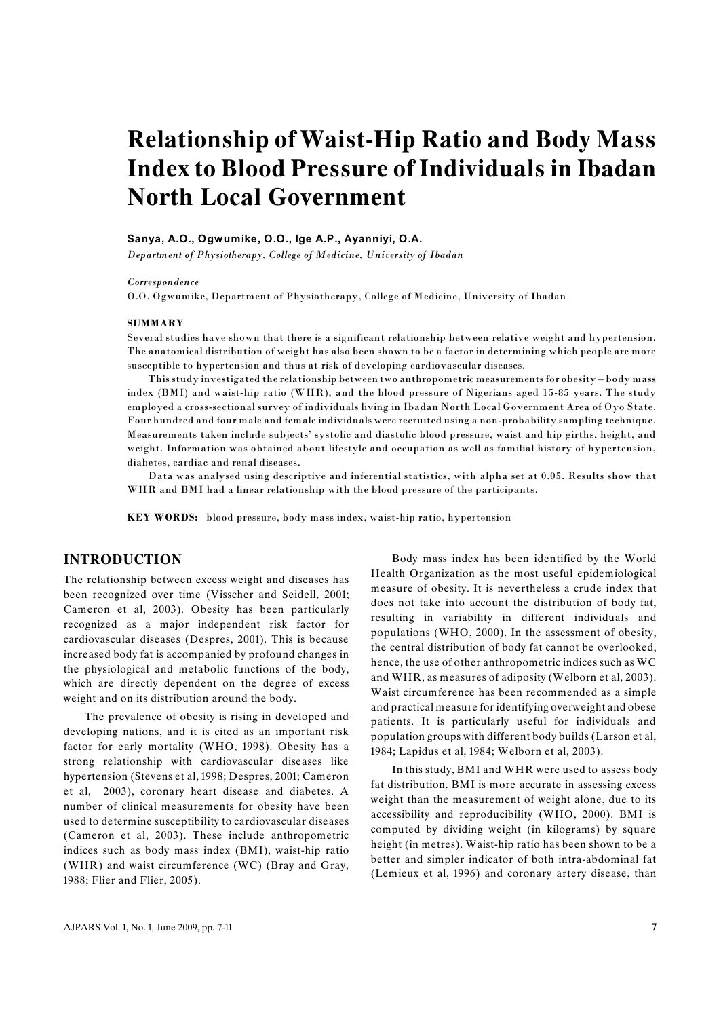# **Relationship of Waist-Hip Ratio and Body Mass Index to Blood Pressure of Individuals in Ibadan North Local Government**

#### **Sanya, A.O., Ogwumike, O.O., Ige A.P., Ayanniyi, O.A.**

*Department of Physiotherapy, College of Medicine, University of Ibadan*

#### *Correspondence*

O.O. Ogwumike, Department of Physiotherapy, College of Medicine, University of Ibadan

#### **SUMMARY**

Several studies have shown that there is a significant relationship between relative weight and hypertension. The anatomical distribution of weight has also been shown to be a factor in determining which people are more susceptible to hypertension and thus at risk of developing cardiovascular diseases.

This study investigated the relationship between two anthropometric measurements for obesity – body mass index (BMI) and waist-hip ratio (WHR), and the blood pressure of Nigerians aged 15-85 years. The study employed a cross-sectional survey of individuals living in Ibadan North Local Government Area of Oyo State. Four hundred and four male and female individuals were recruited using a non-probability sampling technique. Measurements taken include subjects' systolic and diastolic blood pressure, waist and hip girths, height, and weight. Information was obtained about lifestyle and occupation as well as familial history of hypertension, diabetes, cardiac and renal diseases.

Data was analysed using descriptive and inferential statistics, with alpha set at 0.05. Results show that WHR and BMI had a linear relationship with the blood pressure of the participants.

**KEY WORDS:** blood pressure, body mass index, waist-hip ratio, hypertension

## **INTRODUCTION**

The relationship between excess weight and diseases has been recognized over time (Visscher and Seidell, 2001; Cameron et al, 2003). Obesity has been particularly recognized as a major independent risk factor for cardiovascular diseases (Despres, 2001). This is because increased body fat is accompanied by profound changes in the physiological and metabolic functions of the body, which are directly dependent on the degree of excess weight and on its distribution around the body.

The prevalence of obesity is rising in developed and developing nations, and it is cited as an important risk factor for early mortality (WHO, 1998). Obesity has a strong relationship with cardiovascular diseases like hypertension (Stevens et al, 1998; Despres, 2001; Cameron et al, 2003), coronary heart disease and diabetes. A number of clinical measurements for obesity have been used to determine susceptibility to cardiovascular diseases (Cameron et al, 2003). These include anthropometric indices such as body mass index (BMI), waist-hip ratio (WHR) and waist circumference (WC) (Bray and Gray, 1988; Flier and Flier, 2005).

Body mass index has been identified by the World Health Organization as the most useful epidemiological measure of obesity. It is nevertheless a crude index that does not take into account the distribution of body fat, resulting in variability in different individuals and populations (WHO, 2000). In the assessment of obesity, the central distribution of body fat cannot be overlooked, hence, the use of other anthropometric indices such as WC and WHR, as measures of adiposity (Welborn et al, 2003). Waist circumference has been recommended as a simple and practical measure for identifying overweight and obese patients. It is particularly useful for individuals and population groups with different body builds (Larson et al, 1984; Lapidus et al, 1984; Welborn et al, 2003).

In this study, BMI and WHR were used to assess body fat distribution. BMI is more accurate in assessing excess weight than the measurement of weight alone, due to its accessibility and reproducibility (WHO, 2000). BMI is computed by dividing weight (in kilograms) by square height (in metres). Waist-hip ratio has been shown to be a better and simpler indicator of both intra-abdominal fat (Lemieux et al, 1996) and coronary artery disease, than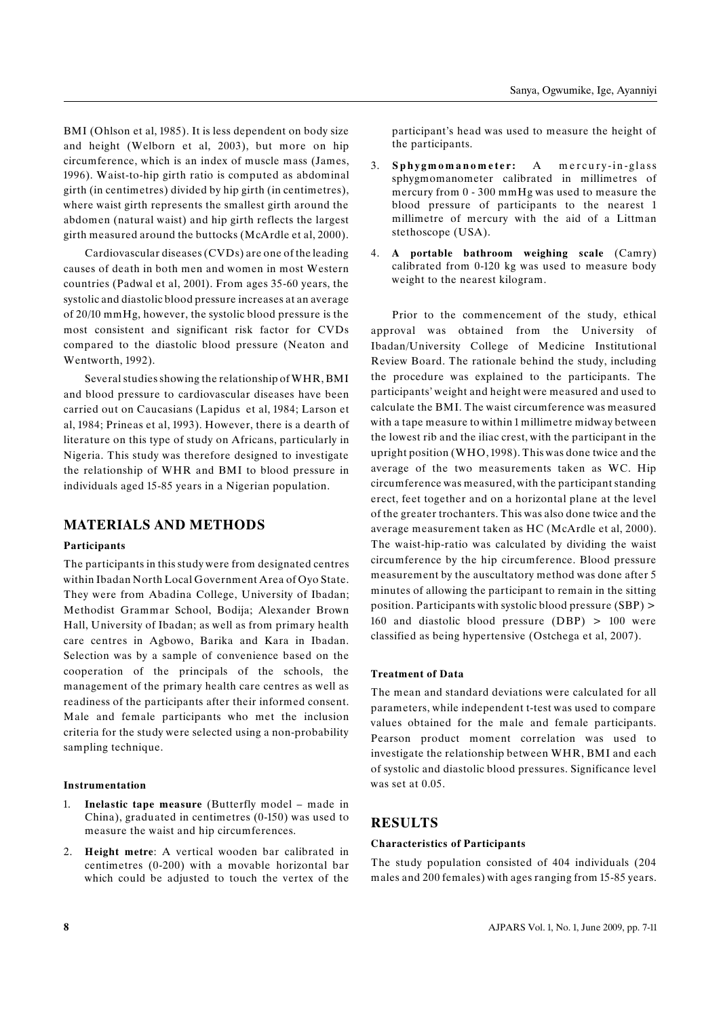BMI (Ohlson et al, 1985). It is less dependent on body size and height (Welborn et al, 2003), but more on hip circumference, which is an index of muscle mass (James, 1996). Waist-to-hip girth ratio is computed as abdominal girth (in centimetres) divided by hip girth (in centimetres), where waist girth represents the smallest girth around the abdomen (natural waist) and hip girth reflects the largest girth measured around the buttocks (McArdle et al, 2000).

Cardiovascular diseases (CVDs) are one of the leading causes of death in both men and women in most Western countries (Padwal et al, 2001). From ages 35-60 years, the systolic and diastolic blood pressure increases at an average of 20/10 mmHg, however, the systolic blood pressure is the most consistent and significant risk factor for CVDs compared to the diastolic blood pressure (Neaton and Wentworth, 1992).

Several studies showing the relationship of WHR, BMI and blood pressure to cardiovascular diseases have been carried out on Caucasians (Lapidus et al, 1984; Larson et al, 1984; Prineas et al, 1993). However, there is a dearth of literature on this type of study on Africans, particularly in Nigeria. This study was therefore designed to investigate the relationship of WHR and BMI to blood pressure in individuals aged 15-85 years in a Nigerian population.

# **MATERIALS AND METHODS**

#### **Participants**

The participants in this study were from designated centres within Ibadan North Local Government Area of Oyo State. They were from Abadina College, University of Ibadan; Methodist Grammar School, Bodija; Alexander Brown Hall, University of Ibadan; as well as from primary health care centres in Agbowo, Barika and Kara in Ibadan. Selection was by a sample of convenience based on the cooperation of the principals of the schools, the management of the primary health care centres as well as readiness of the participants after their informed consent. Male and female participants who met the inclusion criteria for the study were selected using a non-probability sampling technique.

#### **Instrumentation**

- 1. **Inelastic tape measure** (Butterfly model made in China), graduated in centimetres (0-150) was used to measure the waist and hip circumferences.
- 2. **Height metre**: A vertical wooden bar calibrated in centimetres (0-200) with a movable horizontal bar which could be adjusted to touch the vertex of the

participant's head was used to measure the height of the participants.

- 3. **S p h y g m o m a n o m e t e r :** A m e r c u r y -in g l a ss sphygmomanometer calibrated in millimetres of mercury from 0 - 300 mmHg was used to measure the blood pressure of participants to the nearest 1 millimetre of mercury with the aid of a Littman stethoscope (USA).
- 4. **A portable bathroom weighing scale** (Camry) calibrated from 0-120 kg was used to measure body weight to the nearest kilogram.

Prior to the commencement of the study, ethical approval was obtained from the University of Ibadan/University College of Medicine Institutional Review Board. The rationale behind the study, including the procedure was explained to the participants. The participants' weight and height were measured and used to calculate the BMI. The waist circumference was measured with a tape measure to within 1 millimetre midway between the lowest rib and the iliac crest, with the participant in the upright position (WHO, 1998). This was done twice and the average of the two measurements taken as WC. Hip circumference was measured, with the participant standing erect, feet together and on a horizontal plane at the level of the greater trochanters. This was also done twice and the average measurement taken as HC (McArdle et al, 2000). The waist-hip-ratio was calculated by dividing the waist circumference by the hip circumference. Blood pressure measurement by the auscultatory method was done after 5 minutes of allowing the participant to remain in the sitting position. Participants with systolic blood pressure (SBP) > 160 and diastolic blood pressure (DBP) > 100 were classified as being hypertensive (Ostchega et al, 2007).

#### **Treatment of Data**

The mean and standard deviations were calculated for all parameters, while independent t-test was used to compare values obtained for the male and female participants. Pearson product moment correlation was used to investigate the relationship between WHR, BMI and each of systolic and diastolic blood pressures. Significance level was set at  $0.05$ .

# **RESULTS**

#### **Characteristics of Participants**

The study population consisted of 404 individuals (204 males and 200 females) with ages ranging from 15-85 years.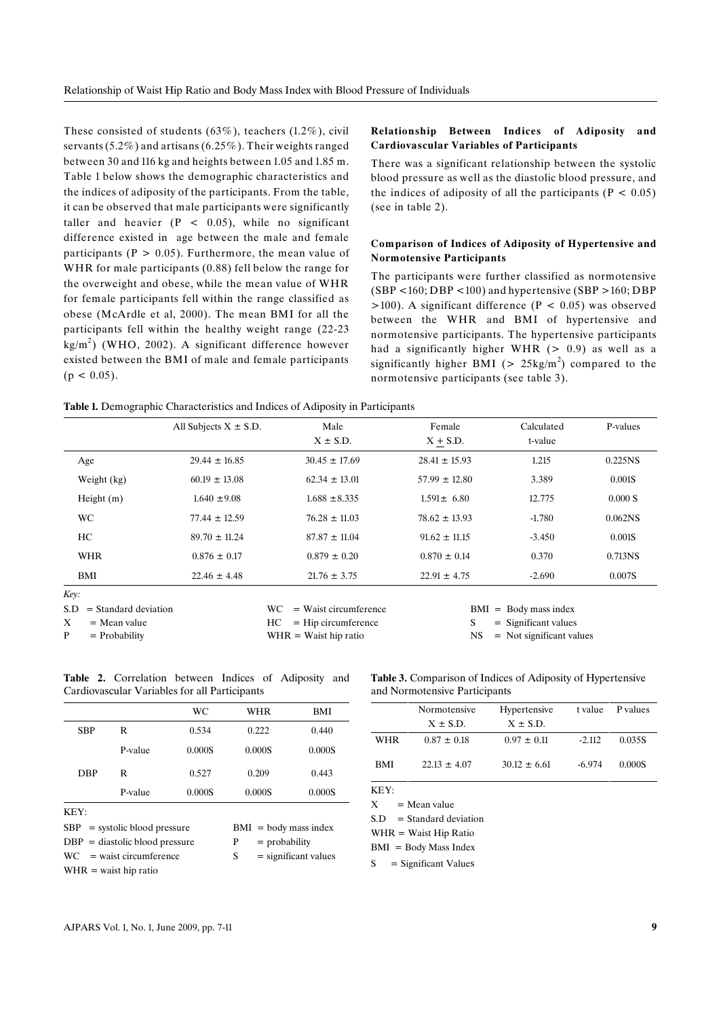These consisted of students (63%), teachers (1.2%), civil servants(5.2%) and artisans (6.25%). Their weights ranged between 30 and 116 kg and heights between 1.05 and 1.85 m. Table 1 below shows the demographic characteristics and the indices of adiposity of the participants. From the table, it can be observed that male participants were significantly taller and heavier  $(P < 0.05)$ , while no significant difference existed in age between the male and female participants ( $P > 0.05$ ). Furthermore, the mean value of WHR for male participants (0.88) fell below the range for the overweight and obese, while the mean value of WHR for female participants fell within the range classified as obese (McArdle et al, 2000). The mean BMI for all the participants fell within the healthy weight range (22-23  $\text{kg/m}^2$ ) (WHO, 2002). A significant difference however existed between the BMI of male and female participants  $(p < 0.05)$ .

#### **Relationship Between Indices of Adiposity and Cardiovascular Variables of Participants**

There was a significant relationship between the systolic blood pressure as well as the diastolic blood pressure, and the indices of adiposity of all the participants ( $P < 0.05$ ) (see in table 2).

#### **Comparison of Indices of Adiposity of Hypertensive and Normotensive Participants**

The participants were further classified as normotensive  $(SBP < 160; DBP < 100)$  and hypertensive  $(SBP > 160; DBP)$  $>100$ ). A significant difference (P < 0.05) was observed between the WHR and BMI of hypertensive and normotensive participants. The hypertensive participants had a significantly higher WHR  $(> 0.9)$  as well as a significantly higher BMI ( $> 25$ kg/m<sup>2</sup>) compared to the normotensive participants (see table 3).

**Table 1.** Demographic Characteristics and Indices of Adiposity in Participants

|                               | All Subjects $X \pm S.D.$ | Male                          | Female                      | Calculated | P-values            |
|-------------------------------|---------------------------|-------------------------------|-----------------------------|------------|---------------------|
|                               |                           | $X \pm S.D.$                  | $X + S.D.$                  | t-value    |                     |
| Age                           | $29.44 \pm 16.85$         | $30.45 \pm 17.69$             | $28.41 \pm 15.93$           | 1.215      | 0.225NS             |
| Weight (kg)                   | $60.19 \pm 13.08$         | $62.34 \pm 13.01$             | $57.99 \pm 12.80$           | 3.389      | 0.001S              |
| Height $(m)$                  | $1.640 \pm 9.08$          | $1.688 \pm 8.335$             | $1.591 \pm 6.80$            | 12.775     | 0.000 S             |
| <b>WC</b>                     | $77.44 \pm 12.59$         | $76.28 \pm 11.03$             | $78.62 \pm 13.93$           | $-1.780$   | 0.062 <sub>NS</sub> |
| HC                            | $89.70 \pm 11.24$         | $87.87 \pm 11.04$             | $91.62 \pm 11.15$           | $-3.450$   | 0.001S              |
| <b>WHR</b>                    | $0.876 \pm 0.17$          | $0.879 \pm 0.20$              | $0.870 \pm 0.14$            | 0.370      | 0.713NS             |
| BMI                           | $22.46 \pm 4.48$          | $21.76 \pm 3.75$              | $22.91 \pm 4.75$            | $-2.690$   | 0.007S              |
| Key:                          |                           |                               |                             |            |                     |
| $=$ Standard deviation<br>S.D |                           | WC<br>$=$ Waist circumference | $BMI = Body mass index$     |            |                     |
| X<br>$=$ Mean value           |                           | HC<br>$=$ Hip circumference   | S<br>$=$ Significant values |            |                     |

WHR = Waist hip ratio

NS = Not significant values

|                                               |  | <b>Table 2.</b> Correlation between Indices of Adiposity and |  |  |  |  |  |
|-----------------------------------------------|--|--------------------------------------------------------------|--|--|--|--|--|
| Cardiovascular Variables for all Participants |  |                                                              |  |  |  |  |  |

|                                  |         | WC     | WHR                         | <b>BMI</b> |  |  |
|----------------------------------|---------|--------|-----------------------------|------------|--|--|
| <b>SBP</b>                       | R       | 0.534  | 0.222                       | 0.440      |  |  |
|                                  | P-value | 0.000S | 0.000S                      | 0.000S     |  |  |
| DBP                              | R       | 0.527  | 0.209                       | 0.443      |  |  |
|                                  | P-value | 0.000S | 0.000S                      | 0.000S     |  |  |
| KFY:                             |         |        |                             |            |  |  |
| $SBP =$ systolic blood pressure  |         |        | $BMI = body mass index$     |            |  |  |
| $DBP = diastolic blood pressure$ |         |        | P<br>$=$ probability        |            |  |  |
| $WC = wait circumference$        |         |        | S<br>$=$ significant values |            |  |  |
| $WHR = wait hip ratio$           |         |        |                             |            |  |  |
|                                  |         |        |                             |            |  |  |

**Table 3.** Comparison of Indices of Adiposity of Hypertensive and Normotensive Participants

|            | Normotensive     | Hypertensive     |          | t value P values |  |
|------------|------------------|------------------|----------|------------------|--|
|            | $X \pm S.D.$     | $X \pm S.D.$     |          |                  |  |
| <b>WHR</b> | $0.87 \pm 0.18$  | $0.97 \pm 0.11$  | $-2.112$ | 0.035S           |  |
| BMI        | $22.13 \pm 4.07$ | $30.12 \pm 6.61$ | $-6.974$ | 0.000S           |  |
| KEY:       |                  |                  |          |                  |  |

 $X = Mean value$ 

 $S.D = Standard deviation$ 

WHR = Waist Hip Ratio

BMI = Body Mass Index

 $S =$  Significant Values

 $P = Probability$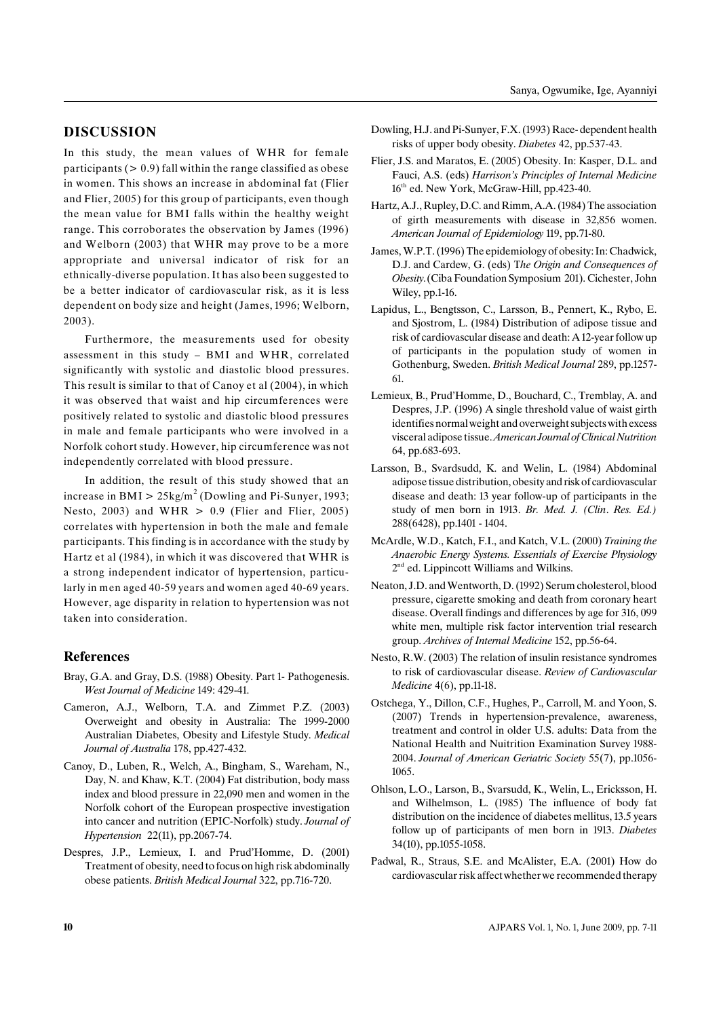### **DISCUSSION**

In this study, the mean values of WHR for female participants ( $> 0.9$ ) fall within the range classified as obese in women. This shows an increase in abdominal fat (Flier and Flier, 2005) for this group of participants, even though the mean value for BMI falls within the healthy weight range. This corroborates the observation by James (1996) and Welborn (2003) that WHR may prove to be a more appropriate and universal indicator of risk for an ethnically-diverse population. It has also been suggested to be a better indicator of cardiovascular risk, as it is less dependent on body size and height (James, 1996; Welborn, 2003).

Furthermore, the measurements used for obesity assessment in this study – BMI and WHR, correlated significantly with systolic and diastolic blood pressures. This result is similar to that of Canoy et al (2004), in which it was observed that waist and hip circumferences were positively related to systolic and diastolic blood pressures in male and female participants who were involved in a Norfolk cohort study. However, hip circumference was not independently correlated with blood pressure.

In addition, the result of this study showed that an increase in BMI  $> 25 \text{kg/m}^2$  (Dowling and Pi-Sunyer, 1993; Nesto, 2003) and WHR  $> 0.9$  (Flier and Flier, 2005) correlates with hypertension in both the male and female participants. This finding is in accordance with the study by Hartz et al (1984), in which it was discovered that WHR is a strong independent indicator of hypertension, particularly in men aged 40-59 years and women aged 40-69 years. However, age disparity in relation to hypertension was not taken into consideration.

#### **References**

- Bray, G.A. and Gray, D.S. (1988) Obesity. Part 1- Pathogenesis. *West Journal of Medicine* 149: 429-41.
- Cameron, A.J., Welborn, T.A. and Zimmet P.Z. (2003) Overweight and obesity in Australia: The 1999-2000 Australian Diabetes, Obesity and Lifestyle Study. *Medical Journal of Australia* 178, pp.427-432.
- Canoy, D., Luben, R., Welch, A., Bingham, S., Wareham, N., Day, N. and Khaw, K.T. (2004) Fat distribution, body mass index and blood pressure in 22,090 men and women in the Norfolk cohort of the European prospective investigation into cancer and nutrition (EPIC-Norfolk) study. *Journal of Hypertension* 22(11), pp.2067-74.
- Despres, J.P., Lemieux, I. and Prud'Homme, D. (2001) Treatment of obesity, need to focus on high risk abdominally obese patients. *British Medical Journal* 322, pp.716-720.
- Dowling, H.J. and Pi-Sunyer, F.X. (1993) Race- dependent health risks of upper body obesity. *Diabetes* 42, pp.537-43.
- Flier, J.S. and Maratos, E. (2005) Obesity. In: Kasper, D.L. and Fauci, A.S. (eds) *Harrison's Principles of Internal Medicine*  $16<sup>th</sup>$  ed. New York, McGraw-Hill, pp.423-40.
- Hartz, A.J., Rupley, D.C. and Rimm, A.A. (1984) The association of girth measurements with disease in 32,856 women. *American Journal of Epidemiology* 119, pp.71-80.
- James, W.P.T. (1996) The epidemiology of obesity: In: Chadwick, D.J. and Cardew, G. (eds) T*he Origin and Consequences of Obesity.*(Ciba Foundation Symposium 201). Cichester, John Wiley, pp.1-16.
- Lapidus, L., Bengtsson, C., Larsson, B., Pennert, K., Rybo, E. and Sjostrom, L. (1984) Distribution of adipose tissue and risk of cardiovascular disease and death: A 12-year follow up of participants in the population study of women in Gothenburg, Sweden. *British Medical Journal* 289, pp.1257- 61.
- Lemieux, B., Prud'Homme, D., Bouchard, C., Tremblay, A. and Despres, J.P. (1996) A single threshold value of waist girth identifies normal weight and overweight subjects with excess visceral adipose tissue. *American JournalofClinical Nutrition* 64, pp.683-693.
- Larsson, B., Svardsudd, K. and Welin, L. (1984) Abdominal adipose tissue distribution, obesity andriskof cardiovascular disease and death: 13 year follow-up of participants in the study of men born in 1913. *Br. Med. J. (Clin*. *Res. Ed.)* 288(6428), pp.1401 - 1404.
- McArdle, W.D., Katch, F.I., and Katch, V.L. (2000) *Training the Anaerobic Energy Systems. Essentials of Exercise Physiology*  $2<sup>nd</sup>$  ed. Lippincott Williams and Wilkins.
- Neaton, J.D. and Wentworth, D. (1992) Serum cholesterol, blood pressure, cigarette smoking and death from coronary heart disease. Overall findings and differences by age for 316, 099 white men, multiple risk factor intervention trial research group. *Archives of Internal Medicine* 152, pp.56-64.
- Nesto, R.W. (2003) The relation of insulin resistance syndromes to risk of cardiovascular disease. *Review of Cardiovascular Medicine* 4(6), pp.11-18.
- Ostchega, Y., Dillon, C.F., Hughes, P., Carroll, M. and Yoon, S. (2007) Trends in hypertension-prevalence, awareness, treatment and control in older U.S. adults: Data from the National Health and Nuitrition Examination Survey 1988- 2004. *Journal of American Geriatric Society* 55(7), pp.1056- 1065.
- Ohlson, L.O., Larson, B., Svarsudd, K., Welin, L., Ericksson, H. and Wilhelmson, L. (1985) The influence of body fat distribution on the incidence of diabetes mellitus, 13.5 years follow up of participants of men born in 1913. *Diabetes* 34(10), pp.1055-1058.
- Padwal, R., Straus, S.E. and McAlister, E.A. (2001) How do cardiovascular risk affect whether we recommended therapy